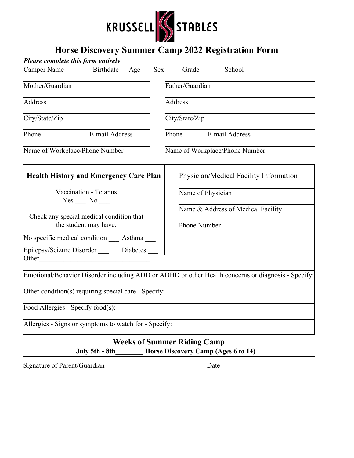

## **Horse Discovery Summer Camp 2022 Registration Form**

| Please complete this form entirely                                |                  |     |                         |                                    |                                                                                                    |  |  |
|-------------------------------------------------------------------|------------------|-----|-------------------------|------------------------------------|----------------------------------------------------------------------------------------------------|--|--|
| Camper Name                                                       | <b>Birthdate</b> | Age | <b>Sex</b>              | Grade                              | School                                                                                             |  |  |
| Mother/Guardian                                                   |                  |     |                         | Father/Guardian                    |                                                                                                    |  |  |
| <b>Address</b>                                                    |                  |     |                         | <b>Address</b>                     |                                                                                                    |  |  |
| City/State/Zip                                                    |                  |     |                         | City/State/Zip                     |                                                                                                    |  |  |
| Phone<br>E-mail Address                                           |                  |     | Phone<br>E-mail Address |                                    |                                                                                                    |  |  |
| Name of Workplace/Phone Number                                    |                  |     |                         |                                    | Name of Workplace/Phone Number                                                                     |  |  |
| <b>Health History and Emergency Care Plan</b>                     |                  |     |                         |                                    | Physician/Medical Facility Information                                                             |  |  |
| Vaccination - Tetanus<br>$Yes \_\_ No \_\_$                       |                  |     |                         |                                    | Name of Physician                                                                                  |  |  |
| Check any special medical condition that<br>the student may have: |                  |     |                         | <b>Phone Number</b>                | Name & Address of Medical Facility                                                                 |  |  |
| No specific medical condition _____ Asthma _____                  |                  |     |                         |                                    |                                                                                                    |  |  |
| Epilepsy/Seizure Disorder _____ Diabetes<br>Other                 |                  |     |                         |                                    |                                                                                                    |  |  |
|                                                                   |                  |     |                         |                                    | Emotional/Behavior Disorder including ADD or ADHD or other Health concerns or diagnosis - Specify: |  |  |
| Other condition(s) requiring special care - Specify:              |                  |     |                         |                                    |                                                                                                    |  |  |
| Food Allergies - Specify food(s):                                 |                  |     |                         |                                    |                                                                                                    |  |  |
| Allergies - Signs or symptoms to watch for - Specify:             |                  |     |                         |                                    |                                                                                                    |  |  |
|                                                                   | July 5th - 8th   |     |                         | <b>Weeks of Summer Riding Camp</b> | Horse Discovery Camp (Ages 6 to 14)                                                                |  |  |

Signature of Parent/Guardian Date